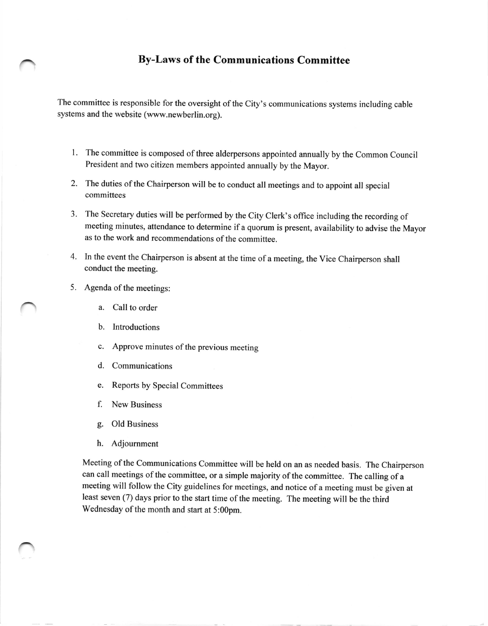## By-Laws of the Communications Committee

The committee is responsible for the oversight of the City's communications systems including cable systems and the website (www.newberlin.org).

- 1. The committee is composed of three alderpersons appointed annually by the Common Council President and two citizen members appointed annually by the Mayor.
- 2. The duties of the Chairperson will be to conduct all meetings and to appoint all special committees
- 3. The Secretary duties will be performed by the City Clerk's office including the recording of meeting minutes, attendance to determine if a quorum is present, availability to advise the Mayor as to the work and recommendations of the committee.
- 4. In the event the Chairperson is absent at the time of a meeting, the Vice Chairperson shall conduct the meeting.
- 5. Agenda of the meetings:
	- a. Call to order
	- b. Introductions
	- c. Approve minutes of the previous meeting
	- d. Communications
	- e. Reports by Special Committees
	- f. New Business
	- g. Old Business
	- h. Adjournment

Meeting of the Communications Committee will be held on an as needed basis. The Chairperson can call meetings of the committee, or a simple majority of the committee. The calling of <sup>a</sup> meeting will follow the City guidelines for meetings, and notice of a meeting must be given at least seven (7) days prior to the start time of the meeting. The meeting will be the third Wednesday of the month and start at 5:00pm.